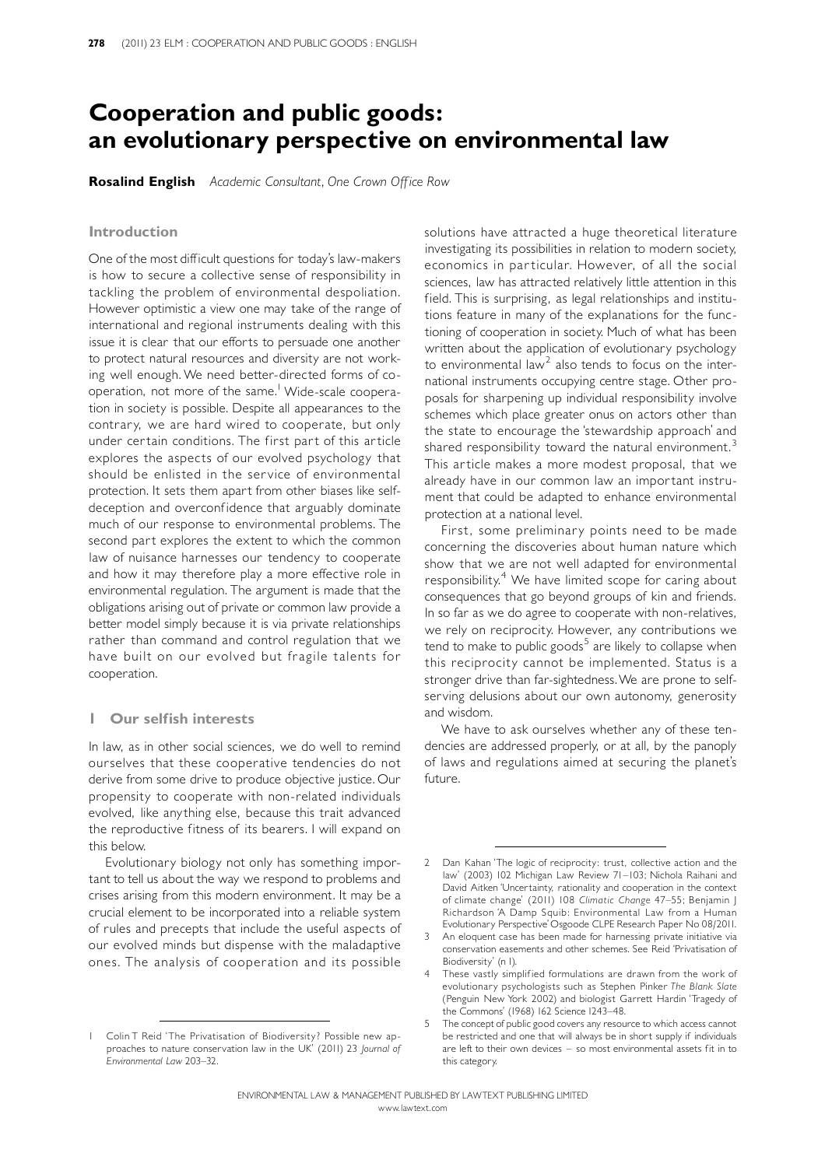# Cooperation and public goods: an evolutionary perspective on environmental law

**Rosalind English** Academic Consultant, One Crown Office Row

#### Introduction

One of the most difficult questions for today's law-makers is how to secure a collective sense of responsibility in tackling the problem of environmental despoliation. However optimistic a view one may take of the range of international and regional instruments dealing with this issue it is clear that our efforts to persuade one another to protect natural resources and diversity are not working well enough.We need better-directed forms of cooperation, not more of the same.<sup>1</sup> Wide-scale cooperation in society is possible. Despite all appearances to the contrary, we are hard wired to cooperate, but only under certain conditions. The first part of this article explores the aspects of our evolved psychology that should be enlisted in the service of environmental protection. It sets them apart from other biases like selfdeception and overconfidence that arguably dominate much of our response to environmental problems. The second part explores the extent to which the common law of nuisance harnesses our tendency to cooperate and how it may therefore play a more effective role in environmental regulation. The argument is made that the obligations arising out of private or common law provide a better model simply because it is via private relationships rather than command and control regulation that we have built on our evolved but fragile talents for cooperation.

### 1 Our selfish interests

In law, as in other social sciences, we do well to remind ourselves that these cooperative tendencies do not derive from some drive to produce objective justice. Our propensity to cooperate with non-related individuals evolved, like anything else, because this trait advanced the reproductive fitness of its bearers. I will expand on this below.

Evolutionary biology not only has something important to tell us about the way we respond to problems and crises arising from this modern environment. It may be a crucial element to be incorporated into a reliable system of rules and precepts that include the useful aspects of our evolved minds but dispense with the maladaptive ones. The analysis of cooperation and its possible

solutions have attracted a huge theoretical literature investigating its possibilities in relation to modern society, economics in particular. However, of all the social sciences, law has attracted relatively little attention in this field. This is surprising, as legal relationships and institutions feature in many of the explanations for the functioning of cooperation in society. Much of what has been written about the application of evolutionary psychology to environmental law<sup>2</sup> also tends to focus on the international instruments occupying centre stage. Other proposals for sharpening up individual responsibility involve schemes which place greater onus on actors other than the state to encourage the `stewardship approach' and shared responsibility toward the natural environment. $3$ This article makes a more modest proposal, that we already have in our common law an important instrument that could be adapted to enhance environmental protection at a national level.

First, some preliminary points need to be made concerning the discoveries about human nature which show that we are not well adapted for environmental responsibility.<sup>4</sup> We have limited scope for caring about consequences that go beyond groups of kin and friends. In so far as we do agree to cooperate with non-relatives, we rely on reciprocity. However, any contributions we tend to make to public goods<sup>5</sup> are likely to collapse when this reciprocity cannot be implemented. Status is a stronger drive than far-sightedness.We are prone to selfserving delusions about our own autonomy, generosity and wisdom.

We have to ask ourselves whether any of these tendencies are addressed properly, or at all, by the panoply of laws and regulations aimed at securing the planet's future.

Colin T Reid 'The Privatisation of Biodiversity? Possible new approaches to nature conservation law in the UK' (2011) 23 Journal of Environmental Law 203^32.

<sup>2</sup> Dan Kahan 'The logic of reciprocity: trust, collective action and the law' (2003) 102 Michigan Law Review 71-103; Nichola Raihani and David Aitken 'Uncertainty, rationality and cooperation in the context of climate change' (2011) 108 Climatic Change 47-55; Benjamin J Richardson `A Damp Squib: Environmental Law from a Human Evolutionary Perspective'Osgoode CLPE Research Paper No 08/2011.

<sup>3</sup> An eloquent case has been made for harnessing private initiative via conservation easements and other schemes. See Reid `Privatisation of Biodiversity' (n 1).

<sup>4</sup> These vastly simplified formulations are drawn from the work of evolutionary psychologists such as Stephen Pinker The Blank Slate (Penguin New York 2002) and biologist Garrett Hardin 'Tragedy of the Commons' (1968) 162 Science 1243^48.

<sup>5</sup> The concept of public good covers any resource to which access cannot be restricted and one that will always be in short supply if individuals are left to their own devices  $-$  so most environmental assets fit in to this category.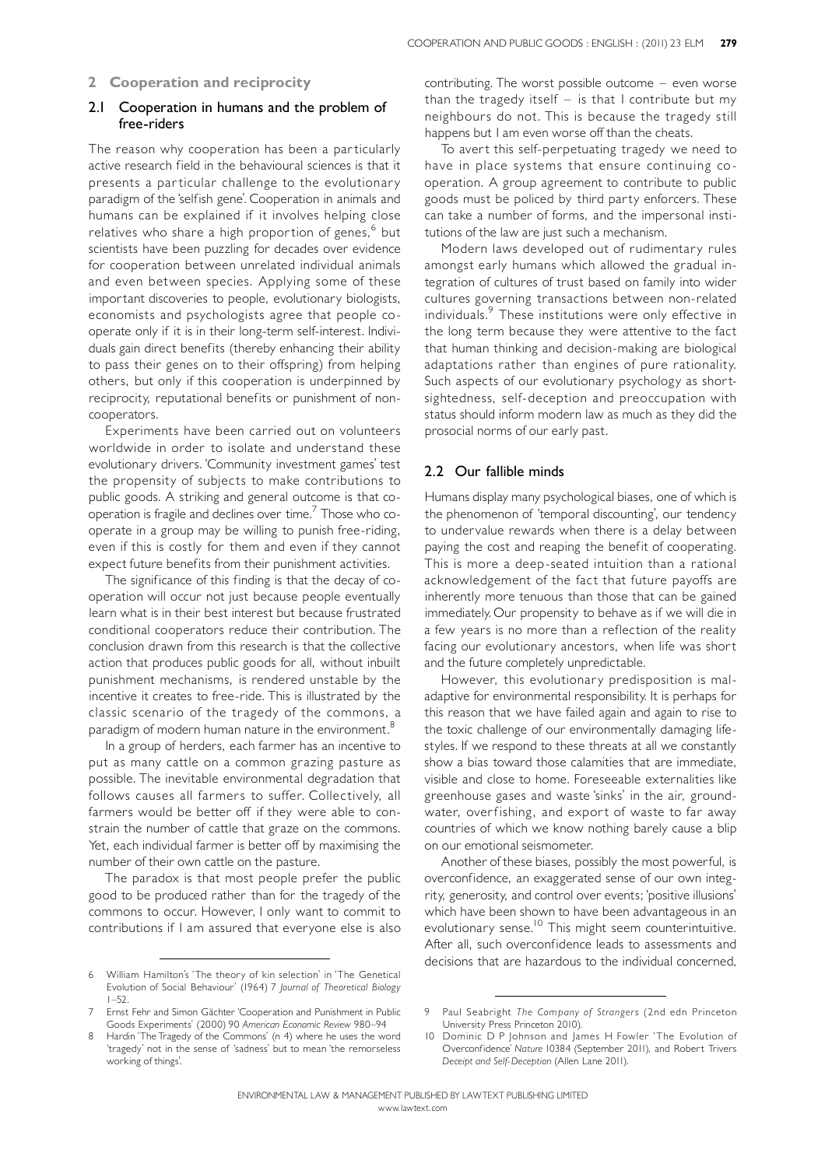# 2 Cooperation and reciprocity

# 2.1 Cooperation in humans and the problem of free-riders

The reason why cooperation has been a particularly active research field in the behavioural sciences is that it presents a particular challenge to the evolutionary paradigm of the 'selfish gene'. Cooperation in animals and humans can be explained if it involves helping close relatives who share a high proportion of genes, <sup>6</sup> but scientists have been puzzling for decades over evidence for cooperation between unrelated individual animals and even between species. Applying some of these important discoveries to people, evolutionary biologists, economists and psychologists agree that people cooperate only if it is in their long-term self-interest. Individuals gain direct benefits (thereby enhancing their ability to pass their genes on to their offspring) from helping others, but only if this cooperation is underpinned by reciprocity, reputational benefits or punishment of noncooperators.

Experiments have been carried out on volunteers worldwide in order to isolate and understand these evolutionary drivers. 'Community investment games' test the propensity of subjects to make contributions to public goods. A striking and general outcome is that cooperation is fragile and declines over time. <sup>7</sup> Those who cooperate in a group may be willing to punish free-riding, even if this is costly for them and even if they cannot expect future benefits from their punishment activities.

The significance of this finding is that the decay of cooperation will occur not just because people eventually learn what is in their best interest but because frustrated conditional cooperators reduce their contribution. The conclusion drawn from this research is that the collective action that produces public goods for all, without inbuilt punishment mechanisms, is rendered unstable by the incentive it creates to free-ride. This is illustrated by the classic scenario of the tragedy of the commons, a paradigm of modern human nature in the environment.<sup>8</sup>

In a group of herders, each farmer has an incentive to put as many cattle on a common grazing pasture as possible. The inevitable environmental degradation that follows causes all farmers to suffer. Collectively, all farmers would be better off if they were able to constrain the number of cattle that graze on the commons. Yet, each individual farmer is better off by maximising the number of their own cattle on the pasture.

The paradox is that most people prefer the public good to be produced rather than for the tragedy of the commons to occur. However, I only want to commit to contributions if I am assured that everyone else is also contributing. The worst possible outcome - even worse than the tragedy itself  $-$  is that I contribute but my neighbours do not. This is because the tragedy still happens but I am even worse off than the cheats.

To avert this self-perpetuating tragedy we need to have in place systems that ensure continuing cooperation. A group agreement to contribute to public goods must be policed by third party enforcers. These can take a number of forms, and the impersonal institutions of the law are just such a mechanism.

Modern laws developed out of rudimentary rules amongst early humans which allowed the gradual integration of cultures of trust based on family into wider cultures governing transactions between non-related individuals. <sup>9</sup> These institutions were only effective in the long term because they were attentive to the fact that human thinking and decision-making are biological adaptations rather than engines of pure rationality. Such aspects of our evolutionary psychology as shortsightedness, self-deception and preoccupation with status should inform modern law as much as they did the prosocial norms of our early past.

# 2.2 Our fallible minds

Humans display many psychological biases, one of which is the phenomenon of 'temporal discounting', our tendency to undervalue rewards when there is a delay between paying the cost and reaping the benefit of cooperating. This is more a deep-seated intuition than a rational acknowledgement of the fact that future payoffs are inherently more tenuous than those that can be gained immediately.Our propensity to behave as if we will die in a few years is no more than a reflection of the reality facing our evolutionary ancestors, when life was short and the future completely unpredictable.

However, this evolutionary predisposition is maladaptive for environmental responsibility. It is perhaps for this reason that we have failed again and again to rise to the toxic challenge of our environmentally damaging lifestyles. If we respond to these threats at all we constantly show a bias toward those calamities that are immediate, visible and close to home. Foreseeable externalities like greenhouse gases and waste 'sinks' in the air, groundwater, overfishing, and export of waste to far away countries of which we know nothing barely cause a blip on our emotional seismometer.

Another of these biases, possibly the most powerful, is overconfidence, an exaggerated sense of our own integrity, generosity, and control over events;`positive illusions' which have been shown to have been advantageous in an evolutionary sense. <sup>10</sup> This might seem counterintuitive. After all, such overconfidence leads to assessments and decisions that are hazardous to the individual concerned,

<sup>6</sup> William Hamilton's 'The theory of kin selection' in 'The Genetical Evolution of Social Behaviour' (1964) 7 Journal of Theoretical Biology  $1 - 52$ .

Ernst Fehr and Simon Gächter 'Cooperation and Punishment in Public Goods Experiments' (2000) 90 American Economic Review 980^94

Hardin 'The Tragedy of the Commons' (n 4) where he uses the word 'tragedy' not in the sense of 'sadness' but to mean 'the remorseless working of things'.

<sup>9</sup> Paul Seabright The Company of Strangers (2nd edn Princeton University Press Princeton 2010).

<sup>10</sup> Dominic D P Johnson and James H Fowler 'The Evolution of Overconfidence' Nature 10384 (September 2011), and Robert Trivers Deceipt and Self-Deception (Allen Lane 2011).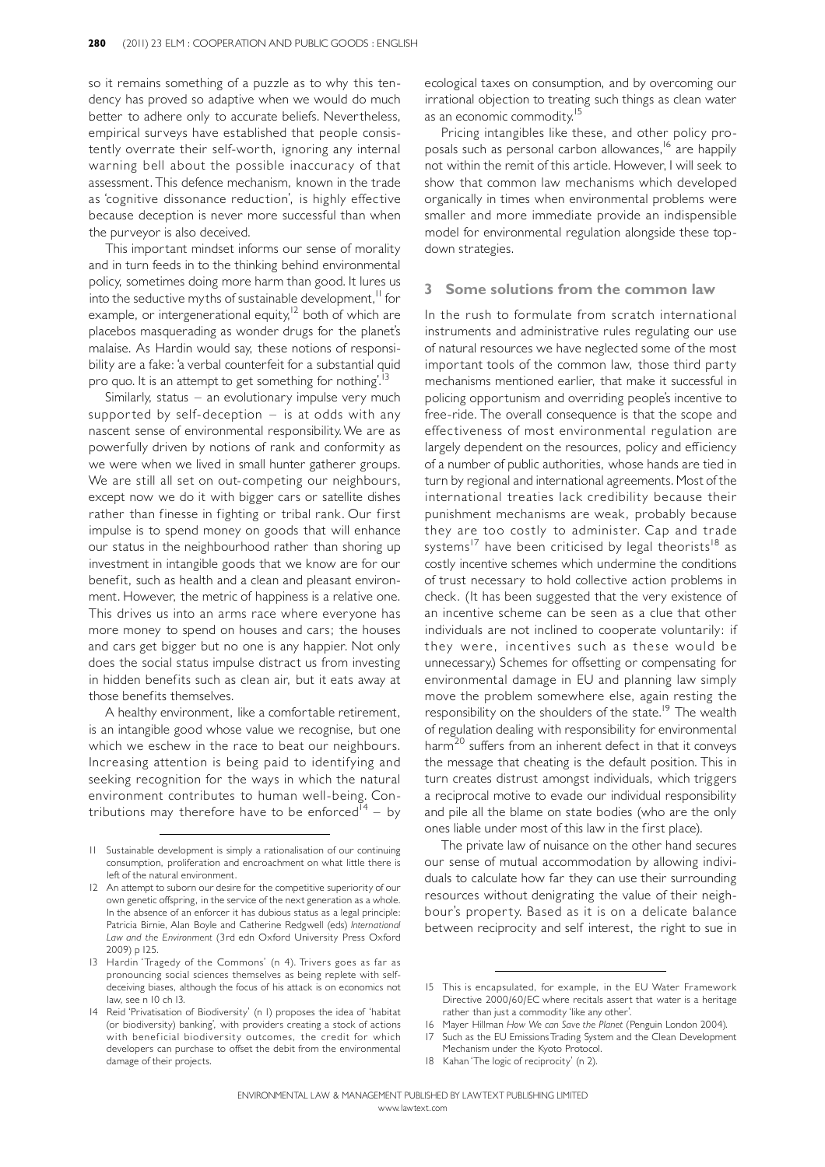so it remains something of a puzzle as to why this tendency has proved so adaptive when we would do much better to adhere only to accurate beliefs. Nevertheless, empirical surveys have established that people consistently overrate their self-worth, ignoring any internal warning bell about the possible inaccuracy of that assessment.This defence mechanism, known in the trade as `cognitive dissonance reduction', is highly effective because deception is never more successful than when the purveyor is also deceived.

This important mindset informs our sense of morality and in turn feeds in to the thinking behind environmental policy, sometimes doing more harm than good. It lures us into the seductive myths of sustainable development, <sup>11</sup> for example, or intergenerational equity,<sup>12</sup> both of which are placebos masquerading as wonder drugs for the planet's malaise. As Hardin would say, these notions of responsibility are a fake: 'a verbal counterfeit for a substantial quid pro quo. It is an attempt to get something for nothing'.<sup>13</sup>

Similarly, status  $-$  an evolutionary impulse very much supported by self-deception  $-$  is at odds with any nascent sense of environmental responsibility.We are as powerfully driven by notions of rank and conformity as we were when we lived in small hunter gatherer groups. We are still all set on out-competing our neighbours, except now we do it with bigger cars or satellite dishes rather than finesse in fighting or tribal rank. Our first impulse is to spend money on goods that will enhance our status in the neighbourhood rather than shoring up investment in intangible goods that we know are for our benefit, such as health and a clean and pleasant environment. However, the metric of happiness is a relative one. This drives us into an arms race where everyone has more money to spend on houses and cars; the houses and cars get bigger but no one is any happier. Not only does the social status impulse distract us from investing in hidden benefits such as clean air, but it eats away at those benefits themselves.

A healthy environment, like a comfortable retirement, is an intangible good whose value we recognise, but one which we eschew in the race to beat our neighbours. Increasing attention is being paid to identifying and seeking recognition for the ways in which the natural environment contributes to human well-being. Contributions may therefore have to be enforced<sup>14</sup> - by ecological taxes on consumption, and by overcoming our irrational objection to treating such things as clean water as an economic commodity.<sup>15</sup>

Pricing intangibles like these, and other policy proposals such as personal carbon allowances, <sup>16</sup> are happily not within the remit of this article. However, I will seek to show that common law mechanisms which developed organically in times when environmental problems were smaller and more immediate provide an indispensible model for environmental regulation alongside these topdown strategies.

## 3 Some solutions from the common law

In the rush to formulate from scratch international instruments and administrative rules regulating our use of natural resources we have neglected some of the most important tools of the common law, those third party mechanisms mentioned earlier, that make it successful in policing opportunism and overriding people's incentive to free-ride. The overall consequence is that the scope and effectiveness of most environmental regulation are largely dependent on the resources, policy and efficiency of a number of public authorities, whose hands are tied in turn by regional and international agreements. Most of the international treaties lack credibility because their punishment mechanisms are weak, probably because they are too costly to administer. Cap and trade systems<sup>17</sup> have been criticised by legal theorists<sup>18</sup> as costly incentive schemes which undermine the conditions of trust necessary to hold collective action problems in check. (It has been suggested that the very existence of an incentive scheme can be seen as a clue that other individuals are not inclined to cooperate voluntarily: if they were, incentives such as these would be unnecessary.) Schemes for offsetting or compensating for environmental damage in EU and planning law simply move the problem somewhere else, again resting the responsibility on the shoulders of the state.<sup>19</sup> The wealth of regulation dealing with responsibility for environmental harm<sup>20</sup> suffers from an inherent defect in that it conveys the message that cheating is the default position. This in turn creates distrust amongst individuals, which triggers a reciprocal motive to evade our individual responsibility and pile all the blame on state bodies (who are the only ones liable under most of this law in the first place).

The private law of nuisance on the other hand secures our sense of mutual accommodation by allowing individuals to calculate how far they can use their surrounding resources without denigrating the value of their neighbour's property. Based as it is on a delicate balance between reciprocity and self interest, the right to sue in

- 17 Such as the EU EmissionsTrading System and the Clean Development Mechanism under the Kyoto Protocol.
- 18 Kahan'The logic of reciprocity' (n 2).

<sup>11</sup> Sustainable development is simply a rationalisation of our continuing consumption, proliferation and encroachment on what little there is left of the natural environment.

<sup>12</sup> An attempt to suborn our desire for the competitive superiority of our own genetic offspring, in the service of the next generation as a whole. In the absence of an enforcer it has dubious status as a legal principle: Patricia Birnie, Alan Boyle and Catherine Redgwell (eds) International Law and the Environment (3rd edn Oxford University Press Oxford 2009) p 125.

<sup>13</sup> Hardin 'Tragedy of the Commons' (n 4). Trivers goes as far as pronouncing social sciences themselves as being replete with selfdeceiving biases, although the focus of his attack is on economics not law, see n 10 ch 13.

<sup>14</sup> Reid 'Privatisation of Biodiversity' (n I) proposes the idea of 'habitat (or biodiversity) banking', with providers creating a stock of actions with beneficial biodiversity outcomes, the credit for which developers can purchase to offset the debit from the environmental damage of their projects.

<sup>15</sup> This is encapsulated, for example, in the EU Water Framework Directive 2000/60/EC where recitals assert that water is a heritage rather than just a commodity 'like any other'.

<sup>16</sup> Mayer Hillman How We can Save the Planet (Penguin London 2004).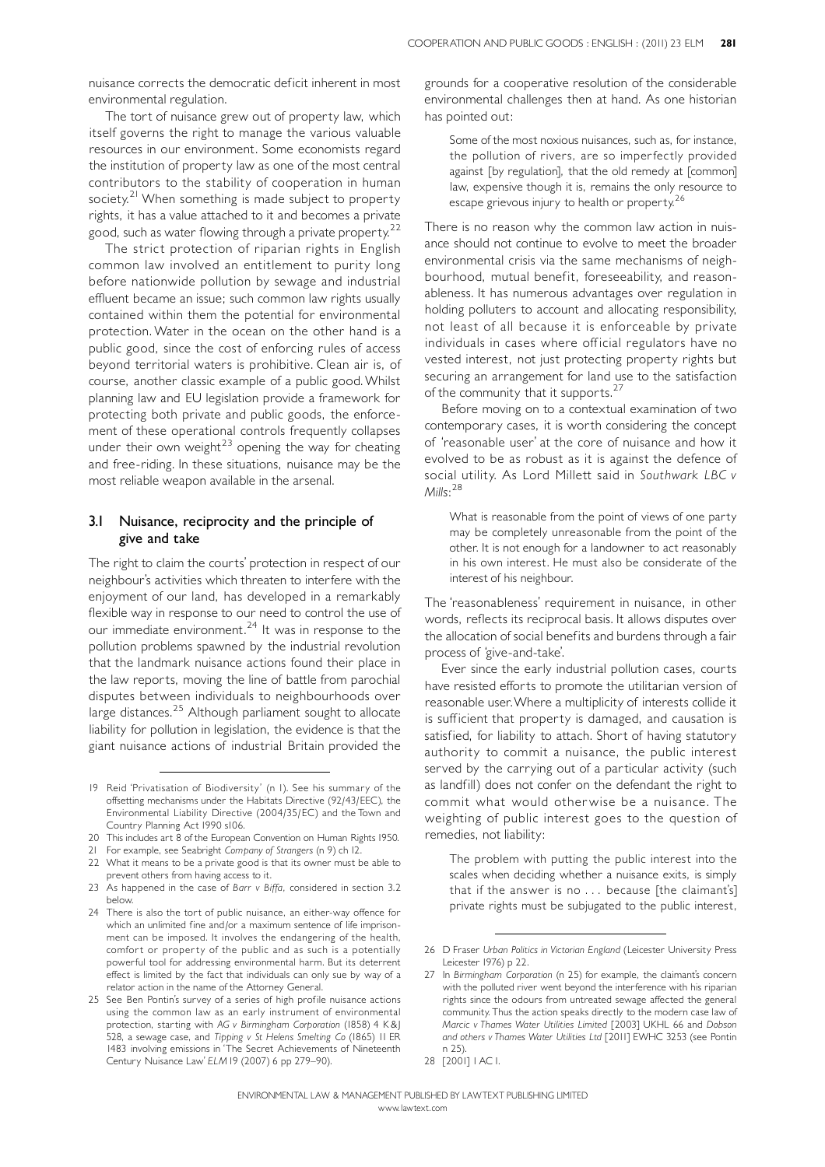nuisance corrects the democratic deficit inherent in most environmental regulation.

The tort of nuisance grew out of property law, which itself governs the right to manage the various valuable resources in our environment. Some economists regard the institution of property law as one of the most central contributors to the stability of cooperation in human society.<sup>21</sup> When something is made subject to property rights, it has a value attached to it and becomes a private good, such as water flowing through a private property.<sup>22</sup>

The strict protection of riparian rights in English common law involved an entitlement to purity long before nationwide pollution by sewage and industrial effluent became an issue; such common law rights usually contained within them the potential for environmental protection.Water in the ocean on the other hand is a public good, since the cost of enforcing rules of access beyond territorial waters is prohibitive. Clean air is, of course, another classic example of a public good.Whilst planning law and EU legislation provide a framework for protecting both private and public goods, the enforcement of these operational controls frequently collapses under their own weight<sup>23</sup> opening the way for cheating and free-riding. In these situations, nuisance may be the most reliable weapon available in the arsenal.

# 3.1 Nuisance, reciprocity and the principle of give and take

The right to claim the courts' protection in respect of our neighbour's activities which threaten to interfere with the enjoyment of our land, has developed in a remarkably flexible way in response to our need to control the use of our immediate environment.<sup>24</sup> It was in response to the pollution problems spawned by the industrial revolution that the landmark nuisance actions found their place in the law reports, moving the line of battle from parochial disputes between individuals to neighbourhoods over large distances.<sup>25</sup> Although parliament sought to allocate liability for pollution in legislation, the evidence is that the giant nuisance actions of industrial Britain provided the

grounds for a cooperative resolution of the considerable environmental challenges then at hand. As one historian has pointed out:

Some of the most noxious nuisances, such as, for instance, the pollution of rivers, are so imperfectly provided against [by regulation], that the old remedy at [common] law, expensive though it is, remains the only resource to escape grievous injury to health or property.<sup>26</sup>

There is no reason why the common law action in nuisance should not continue to evolve to meet the broader environmental crisis via the same mechanisms of neighbourhood, mutual benefit, foreseeability, and reasonableness. It has numerous advantages over regulation in holding polluters to account and allocating responsibility, not least of all because it is enforceable by private individuals in cases where official regulators have no vested interest, not just protecting property rights but securing an arrangement for land use to the satisfaction of the community that it supports.<sup>27</sup>

Before moving on to a contextual examination of two contemporary cases, it is worth considering the concept of 'reasonable user' at the core of nuisance and how it evolved to be as robust as it is against the defence of social utility. As Lord Millett said in Southwark LBC v  $M$ ills: $^{28}$ 

What is reasonable from the point of views of one party may be completely unreasonable from the point of the other. It is not enough for a landowner to act reasonably in his own interest. He must also be considerate of the interest of his neighbour.

The 'reasonableness' requirement in nuisance, in other words, reflects its reciprocal basis. It allows disputes over the allocation of social benefits and burdens through a fair process of `give-and-take'.

Ever since the early industrial pollution cases, courts have resisted efforts to promote the utilitarian version of reasonable user.Where a multiplicity of interests collide it is sufficient that property is damaged, and causation is satisfied, for liability to attach. Short of having statutory authority to commit a nuisance, the public interest served by the carrying out of a particular activity (such as landfill) does not confer on the defendant the right to commit what would otherwise be a nuisance. The weighting of public interest goes to the question of remedies, not liability:

The problem with putting the public interest into the scales when deciding whether a nuisance exits, is simply that if the answer is no . . . because [the claimant's] private rights must be subjugated to the public interest,

<sup>19</sup> Reid 'Privatisation of Biodiversity' (n I). See his summary of the offsetting mechanisms under the Habitats Directive (92/43/EEC), the Environmental Liability Directive (2004/35/EC) and the Town and Country Planning Act 1990 s106.

<sup>20</sup> This includes art 8 of the European Convention on Human Rights 1950.

<sup>21</sup> For example, see Seabright Company of Strangers (n 9) ch 12.

<sup>22</sup> What it means to be a private good is that its owner must be able to prevent others from having access to it.

<sup>23</sup> As happened in the case of Barr v Biffa, considered in section 3.2 below.

<sup>24</sup> There is also the tort of public nuisance, an either-way offence for which an unlimited fine and/or a maximum sentence of life imprisonment can be imposed. It involves the endangering of the health, comfort or property of the public and as such is a potentially powerful tool for addressing environmental harm. But its deterrent effect is limited by the fact that individuals can only sue by way of a relator action in the name of the Attorney General.

<sup>25</sup> See Ben Pontin's survey of a series of high profile nuisance actions using the common law as an early instrument of environmental protection, starting with AG v Birmingham Corporation (1858) 4 K&J 528, a sewage case, and Tipping v St Helens Smelting Co (1865) 11 ER 1483 involving emissions in 'The Secret Achievements of Nineteenth Century Nuisance Law' ELM 19 (2007) 6 pp 279-90).

<sup>26</sup> D Fraser Urban Politics in Victorian England (Leicester University Press Leicester 1976) p 22.

<sup>27</sup> In Birmingham Corporation (n 25) for example, the claimant's concern with the polluted river went beyond the interference with his riparian rights since the odours from untreated sewage affected the general community.Thus the action speaks directly to the modern case law of Marcic v Thames Water Utilities Limited [2003] UKHL 66 and Dobson and others v Thames Water Utilities Ltd [2011] EWHC 3253 (see Pontin n 25).

<sup>28</sup> [2001] 1AC1.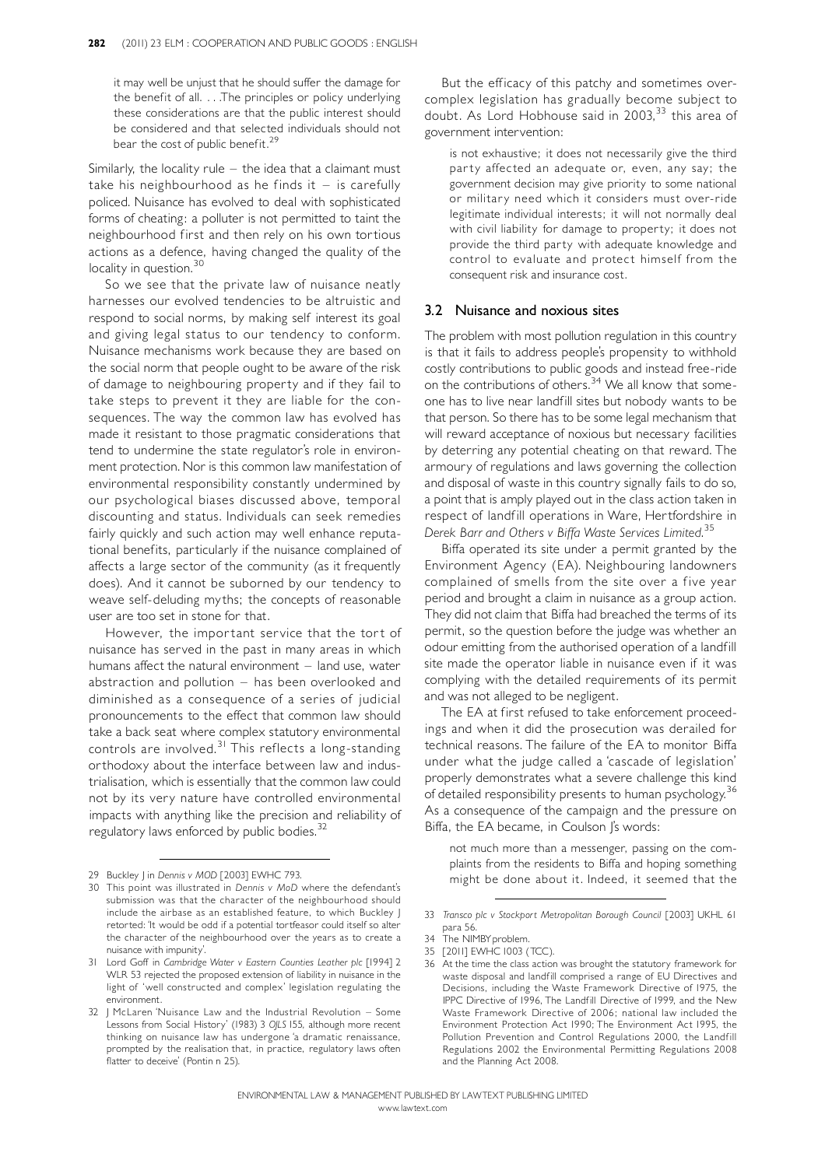it may well be unjust that he should suffer the damage for the benefit of all. . . . The principles or policy underlying these considerations are that the public interest should be considered and that selected individuals should not bear the cost of public benefit.<sup>29</sup>

Similarly, the locality rule  $-$  the idea that a claimant must take his neighbourhood as he finds it  $-$  is carefully policed. Nuisance has evolved to deal with sophisticated forms of cheating: a polluter is not permitted to taint the neighbourhood first and then rely on his own tortious actions as a defence, having changed the quality of the locality in question.<sup>30</sup>

So we see that the private law of nuisance neatly harnesses our evolved tendencies to be altruistic and respond to social norms, by making self interest its goal and giving legal status to our tendency to conform. Nuisance mechanisms work because they are based on the social norm that people ought to be aware of the risk of damage to neighbouring property and if they fail to take steps to prevent it they are liable for the consequences. The way the common law has evolved has made it resistant to those pragmatic considerations that tend to undermine the state regulator's role in environment protection. Nor is this common law manifestation of environmental responsibility constantly undermined by our psychological biases discussed above, temporal discounting and status. Individuals can seek remedies fairly quickly and such action may well enhance reputational benefits, particularly if the nuisance complained of affects a large sector of the community (as it frequently does). And it cannot be suborned by our tendency to weave self-deluding myths; the concepts of reasonable user are too set in stone for that.

However, the important service that the tort of nuisance has served in the past in many areas in which humans affect the natural environment  $-$  land use, water abstraction and pollution  $-$  has been overlooked and diminished as a consequence of a series of judicial pronouncements to the effect that common law should take a back seat where complex statutory environmental controls are involved. <sup>31</sup> This reflects a long-standing orthodoxy about the interface between law and industrialisation, which is essentially that the common law could not by its very nature have controlled environmental impacts with anything like the precision and reliability of regulatory laws enforced by public bodies. 32

But the efficacy of this patchy and sometimes overcomplex legislation has gradually become subject to doubt. As Lord Hobhouse said in 2003, <sup>33</sup> this area of government intervention:

is not exhaustive; it does not necessarily give the third party affected an adequate or, even, any say; the government decision may give priority to some national or military need which it considers must over-ride legitimate individual interests; it will not normally deal with civil liability for damage to property; it does not provide the third party with adequate knowledge and control to evaluate and protect himself from the consequent risk and insurance cost.

## 3.2 Nuisance and noxious sites

The problem with most pollution regulation in this country is that it fails to address people's propensity to withhold costly contributions to public goods and instead free-ride on the contributions of others.<sup>34</sup> We all know that someone has to live near landfill sites but nobody wants to be that person. So there has to be some legal mechanism that will reward acceptance of noxious but necessary facilities by deterring any potential cheating on that reward. The armoury of regulations and laws governing the collection and disposal of waste in this country signally fails to do so, a point that is amply played out in the class action taken in respect of landfill operations in Ware, Hertfordshire in Derek Barr and Others v Biffa Waste Services Limited.<sup>35</sup>

Biffa operated its site under a permit granted by the Environment Agency (EA). Neighbouring landowners complained of smells from the site over a five year period and brought a claim in nuisance as a group action. They did not claim that Biffa had breached the terms of its permit, so the question before the judge was whether an odour emitting from the authorised operation of a landfill site made the operator liable in nuisance even if it was complying with the detailed requirements of its permit and was not alleged to be negligent.

The EA at first refused to take enforcement proceedings and when it did the prosecution was derailed for technical reasons. The failure of the EA to monitor Biffa under what the judge called a 'cascade of legislation' properly demonstrates what a severe challenge this kind of detailed responsibility presents to human psychology.<sup>36</sup> As a consequence of the campaign and the pressure on Biffa, the EA became, in Coulson J's words:

not much more than a messenger, passing on the complaints from the residents to Biffa and hoping something 29 Buckley J in Dennis v MOD [2003] EWHC 793.<br>29 Buckley J in Dennis v MOD [2003] EWHC 793.

<sup>30</sup> This point was illustrated in Dennis v MoD where the defendant's submission was that the character of the neighbourhood should include the airbase as an established feature, to which Buckley J retorted: 'It would be odd if a potential tortfeasor could itself so alter the character of the neighbourhood over the years as to create a nuisance with impunity'.

<sup>31</sup> Lord Goff in Cambridge Water v Eastern Counties Leather plc [1994] 2 WLR 53 rejected the proposed extension of liability in nuisance in the light of `well constructed and complex' legislation regulating the environment.

<sup>32 |</sup> McLaren 'Nuisance Law and the Industrial Revolution - Some Lessons from Social History' (1983) 3 OJLS 155, although more recent thinking on nuisance law has undergone 'a dramatic renaissance, prompted by the realisation that, in practice, regulatory laws often flatter to deceive' (Pontin n 25).

<sup>33</sup> Transco plc v Stockport Metropolitan Borough Council [2003] UKHL 61 para 56.

<sup>34</sup> The NIMBYproblem.

<sup>35 [2011]</sup> EWHC 1003 (TCC).

<sup>36</sup> At the time the class action was brought the statutory framework for waste disposal and landfill comprised a range of EU Directives and Decisions, including the Waste Framework Directive of 1975, the IPPC Directive of 1996, The Landfill Directive of 1999, and the New Waste Framework Directive of 2006; national law included the Environment Protection Act 1990; The Environment Act 1995, the Pollution Prevention and Control Regulations 2000, the Landfill Regulations 2002 the Environmental Permitting Regulations 2008 and the Planning Act 2008.